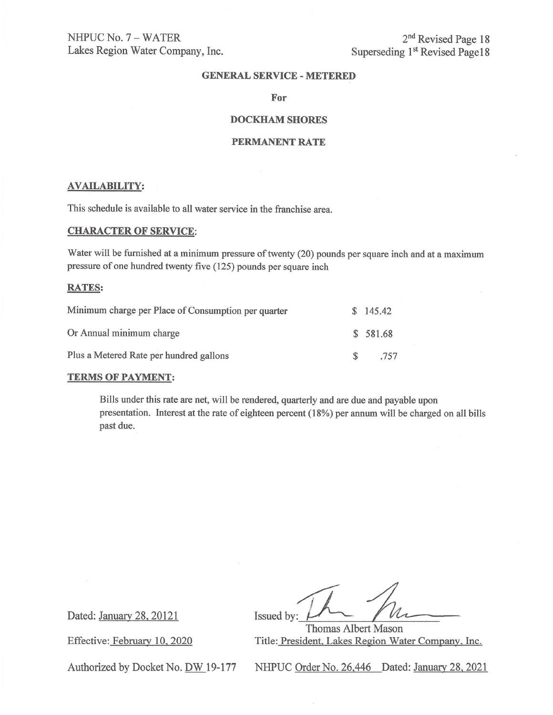NHPUC No. 7 - WATER Lakes Region Water Company, Inc.

2<sup>nd</sup> Revised Page 18 Superseding **1st** Revised Pagel 8

# **GENERAL SERVICE-METERED**

#### **For**

# **DOCKHAM SHORES**

### **PERMANENT RATE**

#### **AVAILABILITY:**

This schedule is available to all water service in the franchise area.

# **CHARACTER OF SERVICE:**

Water will be furnished at a minimum pressure of twenty (20) pounds per square inch and at a maximum pressure of one hundred twenty five ( 125) pounds per square inch

### **RATES:**

| Minimum charge per Place of Consumption per quarter | \$145.42 |
|-----------------------------------------------------|----------|
| Or Annual minimum charge                            | \$581.68 |
| Plus a Metered Rate per hundred gallons             | .757     |

## **TERMS OF PAYMENT:**

Bills under this rate are net, will be rendered, quarterly and are due and payable upon presentation. Interest at the rate of eighteen percent (18%) per annum will be charged on all bills past due.

Dated: January 28, 20121 Issued by:  $M_{\text{202}}$ <br>
Issued by: Thomas Albert Mason<br>
Fffective: February 10, 2020 Title: President Lakes Region Water Company

Thomas Albert Mason Effective: February 10, 2020 Title: President, Lakes Region Water Company, Inc.

Authorized by Docket No. DW 19-177 NHPUC Order No. 26,446 Dated: January 28, 2021